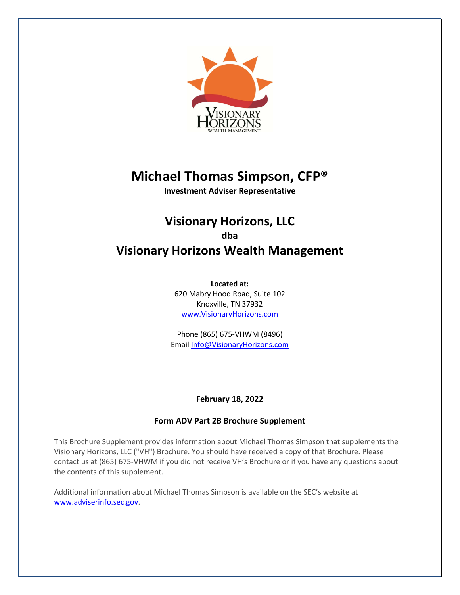

# **Michael Thomas Simpson, CFP®**

**Investment Adviser Representative**

# **Visionary Horizons, LLC dba Visionary Horizons Wealth Management**

**Located at:** 620 Mabry Hood Road, Suite 102 Knoxville, TN 37932 www.VisionaryHorizons.com

Phone (865) 675-VHWM (8496) Email Info@VisionaryHorizons.com

# **February 18, 2022**

# **Form ADV Part 2B Brochure Supplement**

This Brochure Supplement provides information about Michael Thomas Simpson that supplements the Visionary Horizons, LLC ("VH") Brochure. You should have received a copy of that Brochure. Please contact us at (865) 675-VHWM if you did not receive VH's Brochure or if you have any questions about the contents of this supplement.

Additional information about Michael Thomas Simpson is available on the SEC's website at www.adviserinfo.sec.gov.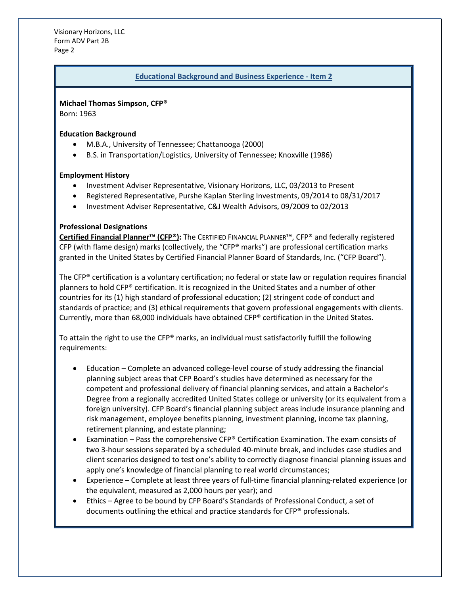Visionary Horizons, LLC Form ADV Part 2B Page 2

#### **Educational Background and Business Experience - Item 2**

#### **Michael Thomas Simpson, CFP®**

Born: 1963

#### **Education Background**

- M.B.A., University of Tennessee; Chattanooga (2000)
- B.S. in Transportation/Logistics, University of Tennessee; Knoxville (1986)

#### **Employment History**

- Investment Adviser Representative, Visionary Horizons, LLC, 03/2013 to Present
- Registered Representative, Purshe Kaplan Sterling Investments, 09/2014 to 08/31/2017
- Investment Adviser Representative, C&J Wealth Advisors, 09/2009 to 02/2013

#### **Professional Designations**

**Certified Financial Planner™ (CFP®):** The CERTIFIED FINANCIAL PLANNER™, CFP® and federally registered CFP (with flame design) marks (collectively, the "CFP® marks") are professional certification marks granted in the United States by Certified Financial Planner Board of Standards, Inc. ("CFP Board").

The CFP® certification is a voluntary certification; no federal or state law or regulation requires financial planners to hold CFP® certification. It is recognized in the United States and a number of other countries for its (1) high standard of professional education; (2) stringent code of conduct and standards of practice; and (3) ethical requirements that govern professional engagements with clients. Currently, more than 68,000 individuals have obtained CFP® certification in the United States.

To attain the right to use the CFP® marks, an individual must satisfactorily fulfill the following requirements:

- Education Complete an advanced college-level course of study addressing the financial planning subject areas that CFP Board's studies have determined as necessary for the competent and professional delivery of financial planning services, and attain a Bachelor's Degree from a regionally accredited United States college or university (or its equivalent from a foreign university). CFP Board's financial planning subject areas include insurance planning and risk management, employee benefits planning, investment planning, income tax planning, retirement planning, and estate planning;
- Examination Pass the comprehensive CFP® Certification Examination. The exam consists of two 3-hour sessions separated by a scheduled 40-minute break, and includes case studies and client scenarios designed to test one's ability to correctly diagnose financial planning issues and apply one's knowledge of financial planning to real world circumstances;
- Experience Complete at least three years of full-time financial planning-related experience (or the equivalent, measured as 2,000 hours per year); and
- Ethics Agree to be bound by CFP Board's Standards of Professional Conduct, a set of documents outlining the ethical and practice standards for CFP® professionals.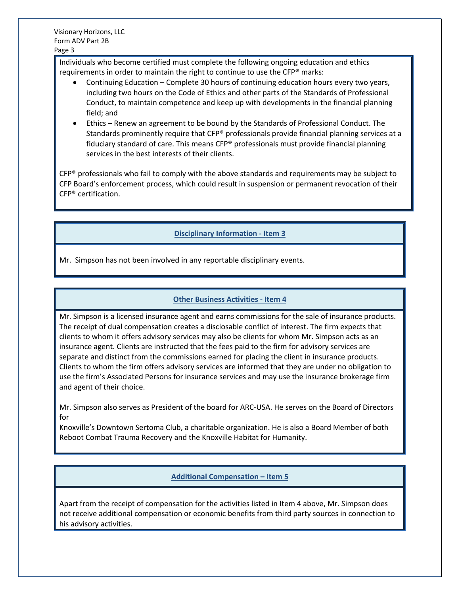Individuals who become certified must complete the following ongoing education and ethics requirements in order to maintain the right to continue to use the CFP® marks:

- Continuing Education Complete 30 hours of continuing education hours every two years, including two hours on the Code of Ethics and other parts of the Standards of Professional Conduct, to maintain competence and keep up with developments in the financial planning field; and
- Ethics Renew an agreement to be bound by the Standards of Professional Conduct. The Standards prominently require that CFP® professionals provide financial planning services at a fiduciary standard of care. This means CFP® professionals must provide financial planning services in the best interests of their clients.

 $CFP<sup>®</sup>$  professionals who fail to comply with the above standards and requirements may be subject to CFP Board's enforcement process, which could result in suspension or permanent revocation of their CFP® certification.

# **Disciplinary Information - Item 3**

Mr. Simpson has not been involved in any reportable disciplinary events.

# **Other Business Activities - Item 4**

Mr. Simpson is a licensed insurance agent and earns commissions for the sale of insurance products. The receipt of dual compensation creates a disclosable conflict of interest. The firm expects that clients to whom it offers advisory services may also be clients for whom Mr. Simpson acts as an insurance agent. Clients are instructed that the fees paid to the firm for advisory services are separate and distinct from the commissions earned for placing the client in insurance products. Clients to whom the firm offers advisory services are informed that they are under no obligation to use the firm's Associated Persons for insurance services and may use the insurance brokerage firm and agent of their choice.

Mr. Simpson also serves as President of the board for ARC-USA. He serves on the Board of Directors for

Knoxville's Downtown Sertoma Club, a charitable organization. He is also a Board Member of both Reboot Combat Trauma Recovery and the Knoxville Habitat for Humanity.

#### **Additional Compensation – Item 5**

Apart from the receipt of compensation for the activities listed in Item 4 above, Mr. Simpson does not receive additional compensation or economic benefits from third party sources in connection to his advisory activities.